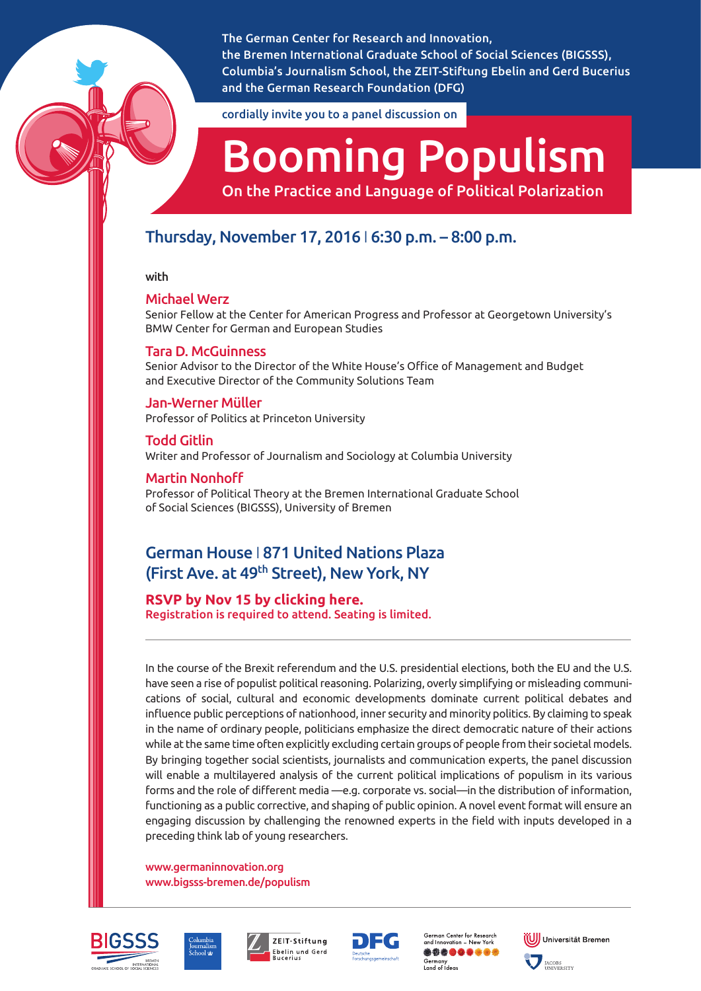The German Center for Research and Innovation, the Bremen International Graduate School of Social Sciences (BIGSSS), Columbia's Journalism School, the ZEIT-Stiftung Ebelin and Gerd Bucerius and the German Research Foundation (DFG)

cordially invite you to a panel discussion on

# Booming Populism

On the Practice and Language of Political Polarization

# Thursday, November 17, 2016 I 6:30 p.m. – 8:00 p.m.

with

# Michael Werz

Senior Fellow at the Center for American Progress and Professor at Georgetown University's BMW Center for German and European Studies

# Tara D. McGuinness

Senior Advisor to the Director of the White House's Office of Management and Budget and Executive Director of the Community Solutions Team

# Jan-Werner Müller Professor of Politics at Princeton University

Todd Gitlin Writer and Professor of Journalism and Sociology at Columbia University

# Martin Nonhoff

Professor of Political Theory at the Bremen International Graduate School of Social Sciences (BIGSSS), University of Bremen

# German House I 871 United Nations Plaza (First Ave. at 49th Street), New York, NY

Registration is required to attend. Seating is limited.

In the course of the Brexit referendum and the U.S. presidential elections, both the EU and the U.S. have seen a rise of populist political reasoning. Polarizing, overly simplifying or misleading communications of social, cultural and economic developments dominate current political debates and influence public perceptions of nationhood, inner security and minority politics. By claiming to speak in the name of ordinary people, politicians emphasize the direct democratic nature of their actions while at the same time often explicitly excluding certain groups of people from their societal models. By bringing together social scientists, journalists and communication experts, the panel discussion will enable a multilayered analysis of the current political implications of populism in its various forms and the role of different media —e.g. corporate vs. social—in the distribution of information, functioning as a public corrective, and shaping of public opinion. A novel event format will ensure an engaging discussion by challenging the renowned experts in the field with inputs developed in a preceding think lab of young researchers.

[www.germaninnovation.org](http://www.germaninnovation.org)  [www.bigsss-bremen.de/populism](https://www.bigsss-bremen.de/about/bigsss-specials-2016/populism-think-lab-panel-2016) 









German Center for Research<br>and Innovation – New York \*\*\*\*\*\*\*\*\* iermany<br>and of Ideas